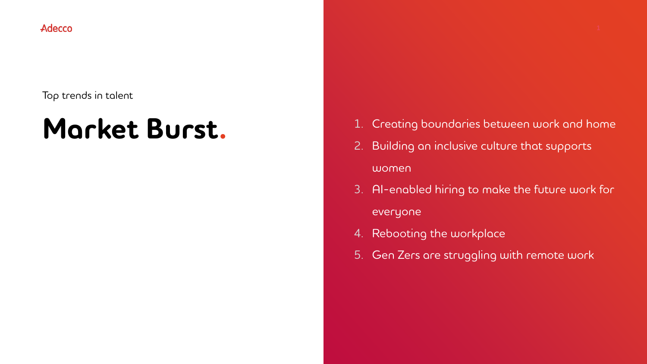Adecco

#### Top trends in talent

# **Market Burst.**

- 1. Creating boundaries between work and home
- 2. Building an inclusive culture that supports women
- 3. AI-enabled hiring to make the future work for everyone
- 4. Rebooting the workplace
- 5. Gen Zers are struggling with remote work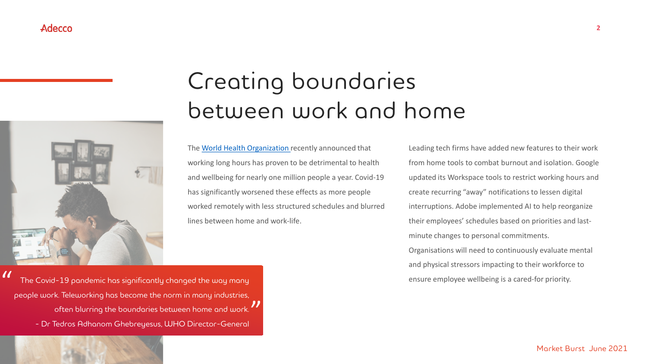

## Creating boundaries between work and home

The [World Health Organization](https://www.who.int/news/item/17-05-2021-long-working-hours-increasing-deaths-from-heart-disease-and-stroke-who-ilo) recently announced that working long hours has proven to be detrimental to health and wellbeing for nearly one million people a year. Covid-19 has significantly worsened these effects as more people worked remotely with less structured schedules and blurred lines between home and work-life.

Leading tech firms have added new features to their work from home tools to combat burnout and isolation. Google updated its Workspace tools to restrict working hours and create recurring "away" notifications to lessen digital interruptions. Adobe implemented AI to help reorganize their employees' schedules based on priorities and lastminute changes to personal commitments. Organisations will need to continuously evaluate mental and physical stressors impacting to their workforce to ensure employee wellbeing is a cared-for priority.

The Covid-19 pandemic has significantly changed the way many people work. Teleworking has become the norm in many industries, often blurring the boundaries between home and work. - Dr Tedros Adhanom Ghebreyesus, WHO Director-General " "

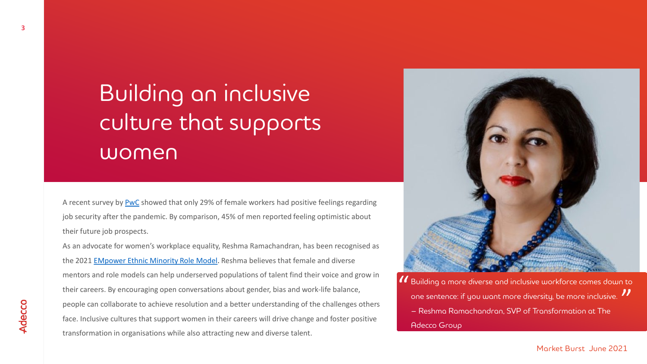## Building an inclusive culture that supports women

A recent survey by [PwC](https://www.pwc.com/gx/en/news-room/press-releases/2021/women-in-work-index-2021.html) showed that only 29% of female workers had positive feelings regarding job security after the pandemic. By comparison, 45% of men reported feeling optimistic about their future job prospects.

As an advocate for women's workplace equality, Reshma Ramachandran, has been recognised as the 2021 [EMpower Ethnic Minority Role Model.](https://www.adeccogroup.com/future-of-work/latest-insights/how-to-avoid-gender-bias-why-mentoring-is-important-lessons-from-ethnic-minority-female-leader/) Reshma believes that female and diverse mentors and role models can help underserved populations of talent find their voice and grow in their careers. By encouraging open conversations about gender, bias and work-life balance, people can collaborate to achieve resolution and a better understanding of the challenges others face. Inclusive cultures that support women in their careers will drive change and foster positive transformation in organisations while also attracting new and diverse talent.



Building a more diverse and inclusive workforce comes down to " one sentence: if you want more diversity, be more inclusive. ¶<br>— Reshma Ramachandran, SVP of Transformation at The – Reshma Ramachandran, SVP of Transformation at The Adecco Group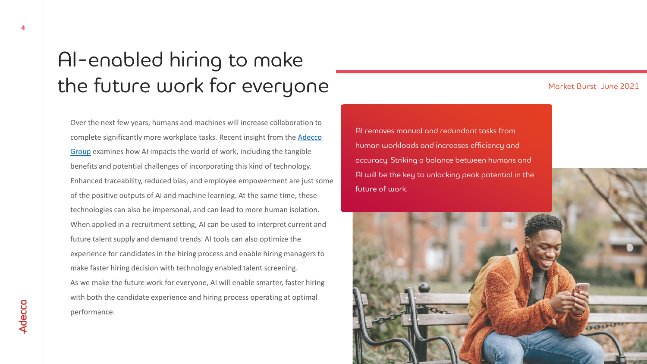### AI-enabled hiring to make the future work for everyone

Over the next few years, humans and machines will increase collaboration to [complete significantly more workplace tasks. Recent insight from the Adecco](https://www.adeccogroup.com/future-of-work/latest-insights/human-and-ai-collaboration-essential-for-the-future-of-work/)  Group examines how AI impacts the world of work, including the tangible benefits and potential challenges of incorporating this kind of technology. Enhanced traceability, reduced bias, and employee empowerment are just some of the positive outputs of AI and machine learning. At the same time, these technologies can also be impersonal, and can lead to more human isolation. When applied in a recruitment setting, AI can be used to interpret current and future talent supply and demand trends. AI tools can also optimize the experience for candidates in the hiring process and enable hiring managers to make faster hiring decision with technology enabled talent screening. As we make the future work for everyone, AI will enable smarter, faster hiring with both the candidate experience and hiring process operating at optimal performance.

#### Market Burst June 2021

AI removes manual and redundant tasks from human workloads and increases efficiency and accuracy. Striking a balance between humans and AI will be the key to unlocking peak potential in the future of work.

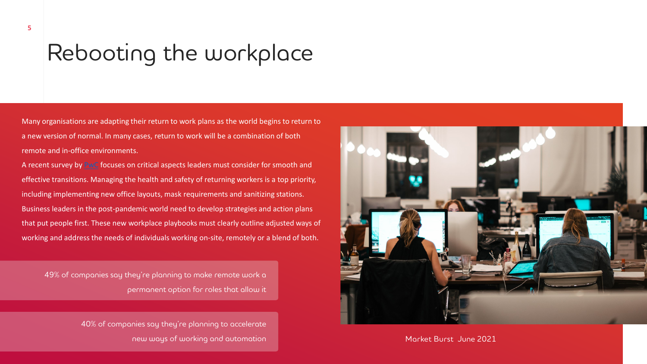## Rebooting the workplace

Many organisations are adapting their return to work plans as the world begins to return to a new version of normal. In many cases, return to work will be a combination of both remote and in-office environments.

A recent survey by [PwC](https://www.pwc.com/us/en/library/covid-19/pdf/reboot-getting-back-to-workplace.pdf) focuses on critical aspects leaders must consider for smooth and effective transitions. Managing the health and safety of returning workers is a top priority, including implementing new office layouts, mask requirements and sanitizing stations. Business leaders in the post-pandemic world need to develop strategies and action plans that put people first. These new workplace playbooks must clearly outline adjusted ways of working and address the needs of individuals working on-site, remotely or a blend of both.

49% of companies say they're planning to make remote work a permanent option for roles that allow it

> 40% of companies say they're planning to accelerate new ways of working and automation Market Burst June 2021